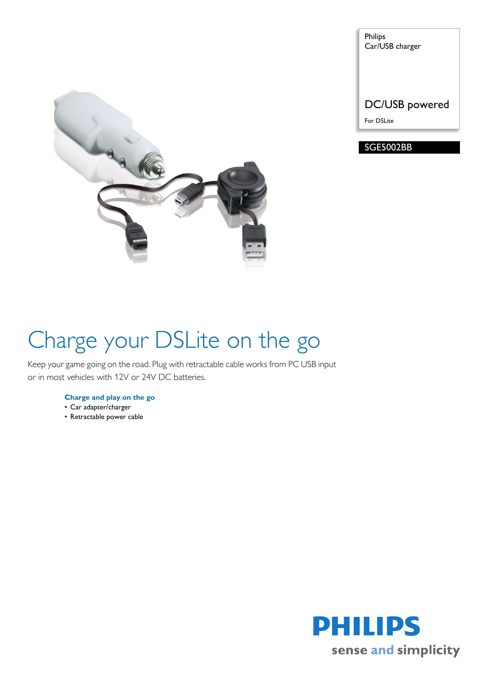

Philips Car/USB charger

DC/USB powered

For DSLite

### SGE5002BB

# Charge your DSLite on the go

Keep your game going on the road. Plug with retractable cable works from PC USB input or in most vehicles with 12V or 24V DC batteries.

#### **Charge and play on the go**

- Car adapter/charger
- Retractable power cable